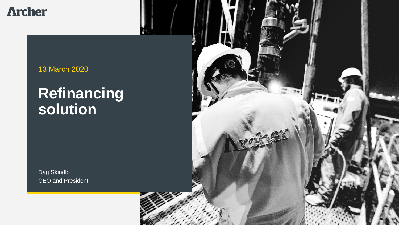**Archer** 

13 March 2020

## **Refinancing solution**

Dag Skindlo CEO and President

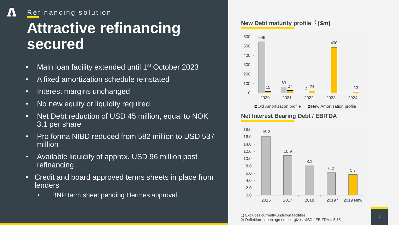#### Л Refinancing solution

## **Attractive refinancing secured**

- Main loan facility extended until 1<sup>st</sup> October 2023
- A fixed amortization schedule reinstated
- Interest margins unchanged
- No new equity or liquidity required
- Net Debt reduction of USD 45 million, equal to NOK 3.1 per share
- Pro forma NIBD reduced from 582 million to USD 537 million
- Available liquidity of approx. USD 96 million post refinancing
- Credit and board approved terms sheets in place from lenders
	- BNP term sheet pending Hermes approval

#### **New Debt maturity profile 1) [***\$m***]**



#### **Net Interest Bearing Debt / EBITDA**



1) Excludes currently undrawn facilities

2) Definition in loan agreement gives NIBD / EBITDA = 5.15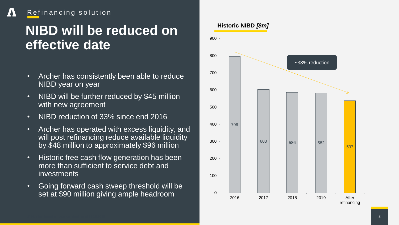### Refinancing solution

 $\boldsymbol{I}$ 

## **NIBD will be reduced on effective date**

- Archer has consistently been able to reduce NIBD year on year
- NIBD will be further reduced by \$45 million with new agreement
- NIBD reduction of 33% since end 2016
- Archer has operated with excess liquidity, and will post refinancing reduce available liquidity by \$48 million to approximately \$96 million
- Historic free cash flow generation has been more than sufficient to service debt and investments
- Going forward cash sweep threshold will be set at \$90 million giving ample headroom

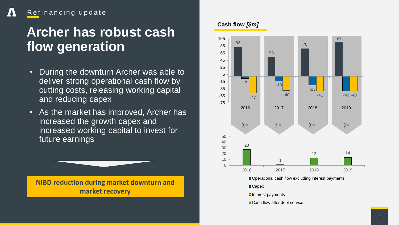### Refinancing update

 $\boldsymbol{I}$ 

## **Archer has robust cash flow generation**

- During the downturn Archer was able to deliver strong operational cash flow by cutting costs, releasing working capital and reducing capex
- As the market has improved, Archer has increased the growth capex and increased working capital to invest for future earnings



#### **Cash flow** *[\$m]*



Operational cash flow excluding interest payments

■Capex

- Interest payments
- Cash flow after debt service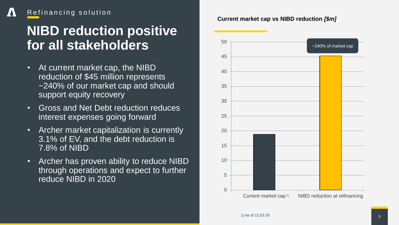### Refinancing solution

## **NIBD reduction positive for all stakeholders**

- At current market cap, the NIBD reduction of \$45 million represents ~240% of our market cap and should support equity recovery
- Gross and Net Debt reduction reduces interest expenses going forward
- Archer market capitalization is currently 3.1% of EV, and the debt reduction is 7.8% of NIBD
- Archer has proven ability to reduce NIBD through operations and expect to further reduce NIBD in 2020

#### **Current market cap vs NIBD reduction** *[\$m]*

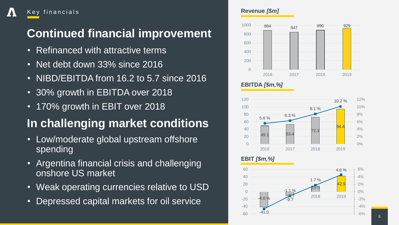### **Continued financial improvement**

• Refinanced with attractive terms

Key financials

- Net debt down 33% since 2016
- NIBD/EBITDA from 16.2 to 5.7 since 2016
- 30% growth in EBITDA over 2018
- 170% growth in EBIT over 2018

### **In challenging market conditions**

- Low/moderate global upstream offshore spending
- Argentina financial crisis and challenging onshore US market
- Weak operating currencies relative to USD
- Depressed capital markets for oil service

#### **Revenue** *[\$m]*



#### **EBITDA** *[\$m,%]*





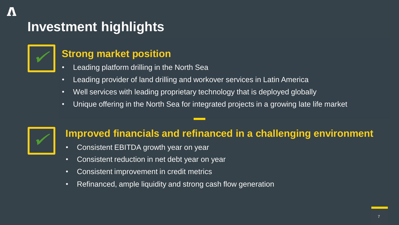## **Investment highlights**



### **Strong market position**

- Leading platform drilling in the North Sea
- Leading provider of land drilling and workover services in Latin America
- Well services with leading proprietary technology that is deployed globally
- Unique offering in the North Sea for integrated projects in a growing late life market



### **Improved financials and refinanced in a challenging environment**

- Consistent EBITDA growth year on year
- Consistent reduction in net debt year on year
- Consistent improvement in credit metrics
- Refinanced, ample liquidity and strong cash flow generation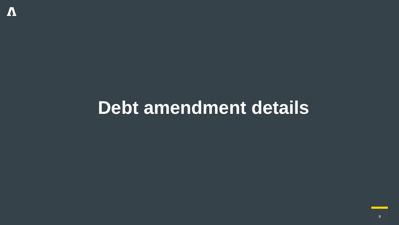# **Debt amendment details**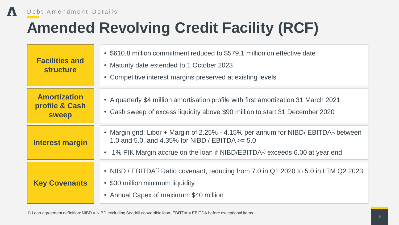$\boldsymbol{\Lambda}$ 

# **Amended Revolving Credit Facility (RCF)**

| <b>Facilities and</b><br><b>structure</b>             | • \$610.8 million commitment reduced to \$579.1 million on effective date<br>• Maturity date extended to 1 October 2023<br>• Competitive interest margins preserved at existing levels                                                         |
|-------------------------------------------------------|------------------------------------------------------------------------------------------------------------------------------------------------------------------------------------------------------------------------------------------------|
| <b>Amortization</b><br>profile & Cash<br><b>sweep</b> | • A quarterly \$4 million amortisation profile with first amortization 31 March 2021<br>• Cash sweep of excess liquidity above \$90 million to start 31 December 2020                                                                          |
| <b>Interest margin</b>                                | • Margin grid: Libor + Margin of 2.25% - 4.15% per annum for NIBD/ EBITDA <sup>1)</sup> between<br>1.0 and 5.0, and 4.35% for NIBD / EBITDA $>= 5.0$<br>1% PIK Margin accrue on the loan if NIBD/EBITDA <sup>1)</sup> exceeds 6.00 at year end |
| <b>Key Covenants</b>                                  | • NIBD / EBITDA <sup>1)</sup> Ratio covenant, reducing from 7.0 in Q1 2020 to 5.0 in LTM Q2 2023<br>• \$30 million minimum liquidity<br>• Annual Capex of maximum \$40 million                                                                 |